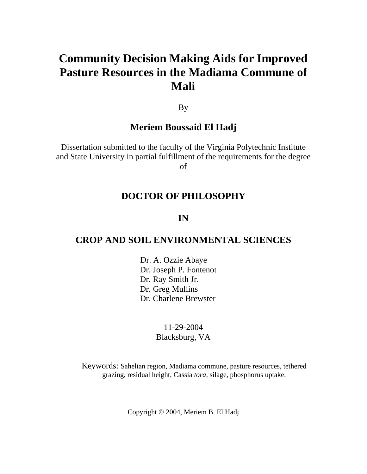# **Community Decision Making Aids for Improved Pasture Resources in the Madiama Commune of Mali**

By

### **Meriem Boussaid El Hadj**

Dissertation submitted to the faculty of the Virginia Polytechnic Institute and State University in partial fulfillment of the requirements for the degree of

# **DOCTOR OF PHILOSOPHY**

# **IN**

### **CROP AND SOIL ENVIRONMENTAL SCIENCES**

Dr. A. Ozzie Abaye Dr. Joseph P. Fontenot Dr. Ray Smith Jr. Dr. Greg Mullins Dr. Charlene Brewster

### 11-29-2004 Blacksburg, VA

Keywords: Sahelian region, Madiama commune, pasture resources, tethered grazing, residual height, Cassia *tora,* silage, phosphorus uptake.

Copyright © 2004, Meriem B. El Hadj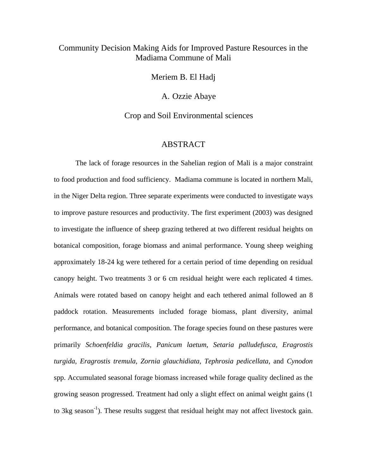### Community Decision Making Aids for Improved Pasture Resources in the Madiama Commune of Mali

Meriem B. El Hadj

A. Ozzie Abaye

Crop and Soil Environmental sciences

#### ABSTRACT

The lack of forage resources in the Sahelian region of Mali is a major constraint to food production and food sufficiency. Madiama commune is located in northern Mali, in the Niger Delta region. Three separate experiments were conducted to investigate ways to improve pasture resources and productivity. The first experiment (2003) was designed to investigate the influence of sheep grazing tethered at two different residual heights on botanical composition, forage biomass and animal performance. Young sheep weighing approximately 18-24 kg were tethered for a certain period of time depending on residual canopy height. Two treatments 3 or 6 cm residual height were each replicated 4 times. Animals were rotated based on canopy height and each tethered animal followed an 8 paddock rotation. Measurements included forage biomass, plant diversity, animal performance, and botanical composition. The forage species found on these pastures were primarily *Schoenfeldia gracilis, Panicum laetum*, *Setaria palludefusca, Eragrostis turgida*, *Eragrostis tremula*, *Zornia glauchidiata*, *Tephrosia pedicellata,* and *Cynodon* spp. Accumulated seasonal forage biomass increased while forage quality declined as the growing season progressed. Treatment had only a slight effect on animal weight gains (1 to 3kg season<sup>-1</sup>). These results suggest that residual height may not affect livestock gain.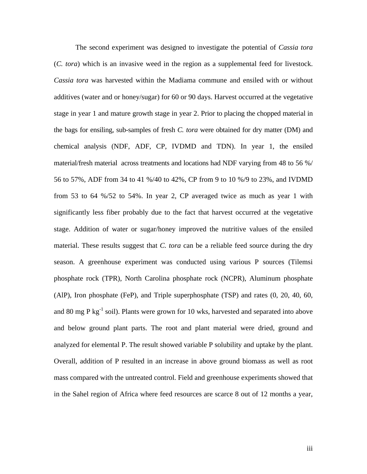The second experiment was designed to investigate the potential of *Cassia tora*  (*C. tora*) which is an invasive weed in the region as a supplemental feed for livestock. *Cassia tora* was harvested within the Madiama commune and ensiled with or without additives (water and or honey/sugar) for 60 or 90 days. Harvest occurred at the vegetative stage in year 1 and mature growth stage in year 2. Prior to placing the chopped material in the bags for ensiling, sub-samples of fresh *C. tora* were obtained for dry matter (DM) and chemical analysis (NDF, ADF, CP, IVDMD and TDN). In year 1, the ensiled material/fresh material across treatments and locations had NDF varying from 48 to 56 %/ 56 to 57%, ADF from 34 to 41 %/40 to 42%, CP from 9 to 10 %/9 to 23%, and IVDMD from 53 to 64 %/52 to 54%. In year 2, CP averaged twice as much as year 1 with significantly less fiber probably due to the fact that harvest occurred at the vegetative stage. Addition of water or sugar/honey improved the nutritive values of the ensiled material. These results suggest that *C. tora* can be a reliable feed source during the dry season. A greenhouse experiment was conducted using various P sources (Tilemsi phosphate rock (TPR), North Carolina phosphate rock (NCPR), Aluminum phosphate (AlP), Iron phosphate (FeP), and Triple superphosphate (TSP) and rates (0, 20, 40, 60, and 80 mg P  $kg^{-1}$  soil). Plants were grown for 10 wks, harvested and separated into above and below ground plant parts. The root and plant material were dried, ground and analyzed for elemental P. The result showed variable P solubility and uptake by the plant. Overall, addition of P resulted in an increase in above ground biomass as well as root mass compared with the untreated control. Field and greenhouse experiments showed that in the Sahel region of Africa where feed resources are scarce 8 out of 12 months a year,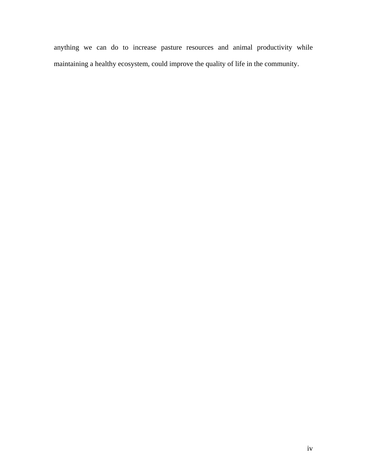anything we can do to increase pasture resources and animal productivity while maintaining a healthy ecosystem, could improve the quality of life in the community.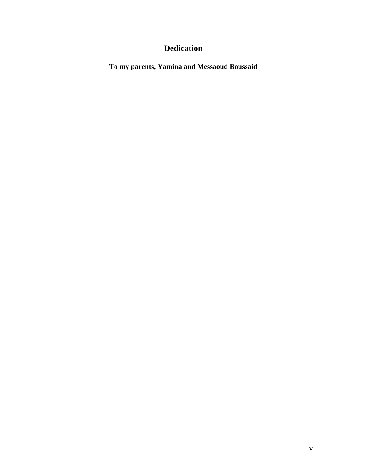# **Dedication**

**To my parents, Yamina and Messaoud Boussaid**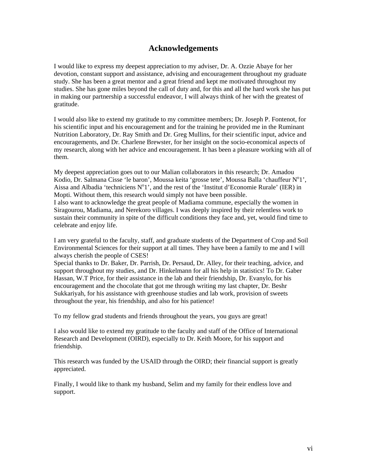### **Acknowledgements**

I would like to express my deepest appreciation to my adviser, Dr. A. Ozzie Abaye for her devotion, constant support and assistance, advising and encouragement throughout my graduate study. She has been a great mentor and a great friend and kept me motivated throughout my studies. She has gone miles beyond the call of duty and, for this and all the hard work she has put in making our partnership a successful endeavor, I will always think of her with the greatest of gratitude.

I would also like to extend my gratitude to my committee members; Dr. Joseph P. Fontenot, for his scientific input and his encouragement and for the training he provided me in the Ruminant Nutrition Laboratory, Dr. Ray Smith and Dr. Greg Mullins, for their scientific input, advice and encouragements, and Dr. Charlene Brewster, for her insight on the socio-economical aspects of my research, along with her advice and encouragement. It has been a pleasure working with all of them.

My deepest appreciation goes out to our Malian collaborators in this research; Dr. Amadou Kodio, Dr. Salmana Cisse 'le baron', Moussa keita 'grosse tete', Moussa Balla 'chauffeur N°1', Aissa and Albadia 'techniciens  $N^01$ ', and the rest of the 'Institut d'Economie Rurale' (IER) in Mopti. Without them, this research would simply not have been possible.

I also want to acknowledge the great people of Madiama commune, especially the women in Siragourou, Madiama, and Nerekoro villages. I was deeply inspired by their relentless work to sustain their community in spite of the difficult conditions they face and, yet, would find time to celebrate and enjoy life.

I am very grateful to the faculty, staff, and graduate students of the Department of Crop and Soil Environmental Sciences for their support at all times. They have been a family to me and I will always cherish the people of CSES!

Special thanks to Dr. Baker, Dr. Parrish, Dr. Persaud, Dr. Alley, for their teaching, advice, and support throughout my studies, and Dr. Hinkelmann for all his help in statistics! To Dr. Gaber Hassan, W.T Price, for their assistance in the lab and their friendship, Dr. Evanylo, for his encouragement and the chocolate that got me through writing my last chapter, Dr. Beshr Sukkariyah, for his assistance with greenhouse studies and lab work, provision of sweets throughout the year, his friendship, and also for his patience!

To my fellow grad students and friends throughout the years, you guys are great!

I also would like to extend my gratitude to the faculty and staff of the Office of International Research and Development (OIRD), especially to Dr. Keith Moore, for his support and friendship.

This research was funded by the USAID through the OIRD; their financial support is greatly appreciated.

Finally, I would like to thank my husband, Selim and my family for their endless love and support.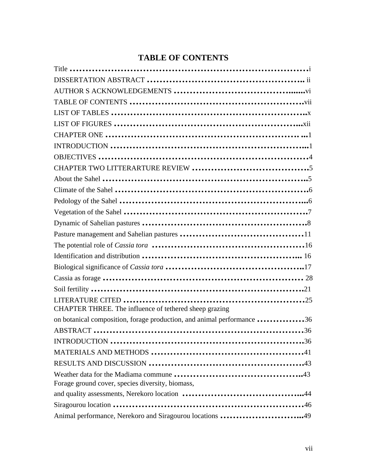### **TABLE OF CONTENTS**

| CHAPTER THREE. The influence of tethered sheep grazing                 |
|------------------------------------------------------------------------|
| on botanical composition, forage production, and animal performance 36 |
|                                                                        |
|                                                                        |
|                                                                        |
|                                                                        |
|                                                                        |
| Forage ground cover, species diversity, biomass,                       |
|                                                                        |
|                                                                        |
| Animal performance, Nerekoro and Siragourou locations 49               |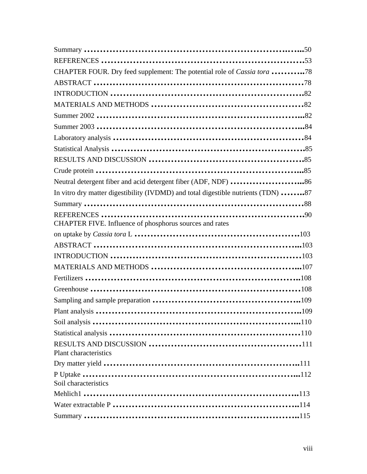| CHAPTER FOUR. Dry feed supplement: The potential role of Cassia tora 78           |  |
|-----------------------------------------------------------------------------------|--|
|                                                                                   |  |
|                                                                                   |  |
|                                                                                   |  |
|                                                                                   |  |
|                                                                                   |  |
|                                                                                   |  |
|                                                                                   |  |
|                                                                                   |  |
|                                                                                   |  |
| Neutral detergent fiber and acid detergent fiber (ADF, NDF) 86                    |  |
| In vitro dry matter digestibility (IVDMD) and total digestible nutrients (TDN) 87 |  |
|                                                                                   |  |
|                                                                                   |  |
| CHAPTER FIVE. Influence of phosphorus sources and rates                           |  |
|                                                                                   |  |
|                                                                                   |  |
|                                                                                   |  |
|                                                                                   |  |
|                                                                                   |  |
|                                                                                   |  |
|                                                                                   |  |
|                                                                                   |  |
|                                                                                   |  |
|                                                                                   |  |
| Plant characteristics                                                             |  |
|                                                                                   |  |
|                                                                                   |  |
| Soil characteristics                                                              |  |
|                                                                                   |  |
|                                                                                   |  |
|                                                                                   |  |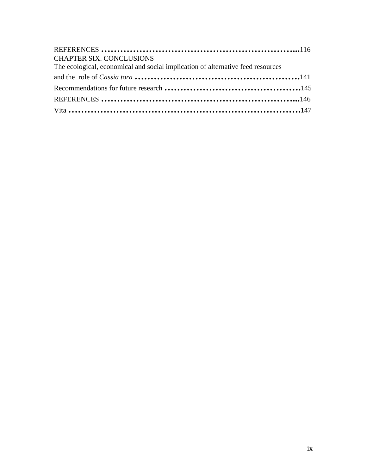| <b>CHAPTER SIX. CONCLUSIONS</b><br>The ecological, economical and social implication of alternative feed resources |  |
|--------------------------------------------------------------------------------------------------------------------|--|
|                                                                                                                    |  |
|                                                                                                                    |  |
|                                                                                                                    |  |
|                                                                                                                    |  |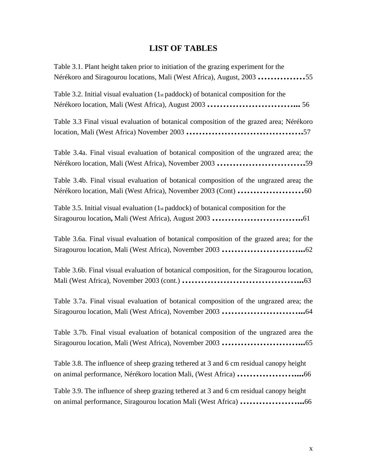### **LIST OF TABLES**

Table 3.1. Plant height taken prior to initiation of the grazing experiment for the Nérékoro and Siragourou locations, Mali (West Africa), August, 2003 **……………**55 Table 3.2. Initial visual evaluation (1st paddock) of botanical composition for the Nérékoro location, Mali (West Africa), August 2003 **………………………...** 56 Table 3.3 Final visual evaluation of botanical composition of the grazed area; Nérékoro location, Mali (West Africa) November 2003 **……………………………….**57 Table 3.4a. Final visual evaluation of botanical composition of the ungrazed area; the Nérékoro location, Mali (West Africa), November 2003 **……………………….**59 Table 3.4b. Final visual evaluation of botanical composition of the ungrazed area**;** the Nérékoro location, Mali (West Africa), November 2003 (Cont) **…………………**60 Table 3.5. Initial visual evaluation  $(1<sub>st</sub>$  paddock) of botanical composition for the Siragourou location**,** Mali (West Africa), August 2003 **………………………..**61 Table 3.6a. Final visual evaluation of botanical composition of the grazed area; for the Siragourou location, Mali (West Africa), November 2003 **……………………...**62 Table 3.6b. Final visual evaluation of botanical composition, for the Siragourou location, Mali (West Africa), November 2003 (cont.) **………………………………...**63 Table 3.7a. Final visual evaluation of botanical composition of the ungrazed area; the Siragourou location, Mali (West Africa), November 2003 **……………………...**64 Table 3.7b. Final visual evaluation of botanical composition of the ungrazed area the Siragourou location, Mali (West Africa), November 2003 **……………………...**65 Table 3.8. The influence of sheep grazing tethered at 3 and 6 cm residual canopy height on animal performance, Nérékoro location Mali, (West Africa) **………………....**66 Table 3.9. The influence of sheep grazing tethered at 3 and 6 cm residual canopy height

on animal performance, Siragourou location Mali (West Africa) **………………...**66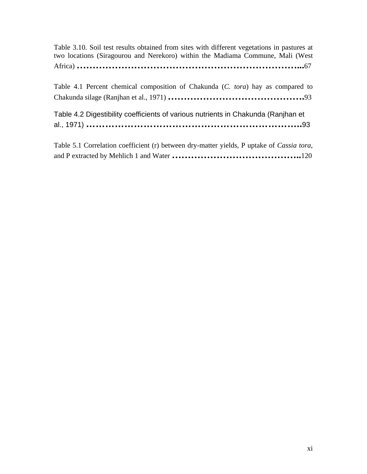Table 3.10. Soil test results obtained from sites with different vegetations in pastures at two locations (Siragourou and Nerekoro) within the Madiama Commune, Mali (West Africa) **……………………………………………………………...**67

Table 4.1 Percent chemical composition of Chakunda (*C. tora*) hay as compared to Chakunda silage (Ranjhan et al., 1971) **…………………………………….**93

| Table 4.2 Digestibility coefficients of various nutrients in Chakunda (Ranjhan et |  |
|-----------------------------------------------------------------------------------|--|
|                                                                                   |  |

Table 5.1 Correlation coefficient (r) between dry-matter yields, P uptake of *Cassia tora*, and P extracted by Mehlich 1 and Water **…………………………………..**120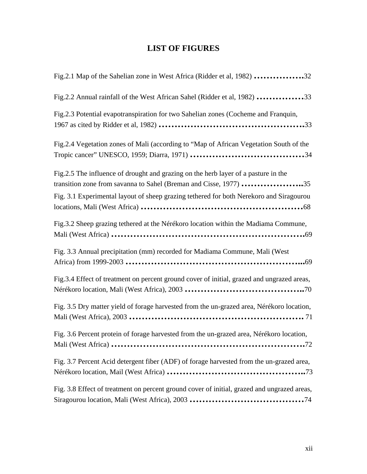# **LIST OF FIGURES**

| Fig.2.1 Map of the Sahelian zone in West Africa (Ridder et al, 1982) 32                     |
|---------------------------------------------------------------------------------------------|
| Fig.2.2 Annual rainfall of the West African Sahel (Ridder et al, 1982) 33                   |
| Fig.2.3 Potential evapotranspiration for two Sahelian zones (Cocheme and Franquin,          |
| Fig.2.4 Vegetation zones of Mali (according to "Map of African Vegetation South of the      |
| Fig.2.5 The influence of drought and grazing on the herb layer of a pasture in the          |
| transition zone from savanna to Sahel (Breman and Cisse, 1977) 35                           |
| Fig. 3.1 Experimental layout of sheep grazing tethered for both Nerekoro and Siragourou     |
| Fig.3.2 Sheep grazing tethered at the Nérékoro location within the Madiama Commune,         |
| Fig. 3.3 Annual precipitation (mm) recorded for Madiama Commune, Mali (West                 |
| Fig.3.4 Effect of treatment on percent ground cover of initial, grazed and ungrazed areas,  |
| Fig. 3.5 Dry matter yield of forage harvested from the un-grazed area, Nérékoro location,   |
| Fig. 3.6 Percent protein of forage harvested from the un-grazed area, Nérékoro location,    |
| Fig. 3.7 Percent Acid detergent fiber (ADF) of forage harvested from the un-grazed area,    |
| Fig. 3.8 Effect of treatment on percent ground cover of initial, grazed and ungrazed areas, |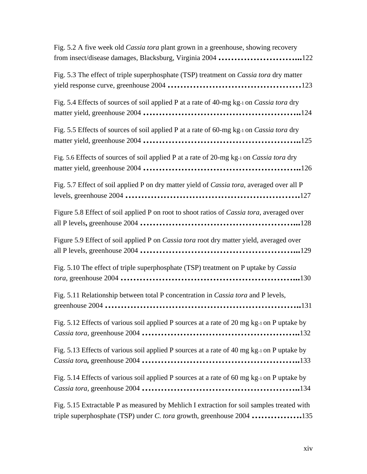| Fig. 5.2 A five week old Cassia tora plant grown in a greenhouse, showing recovery<br>from insect/disease damages, Blacksburg, Virginia 2004 122 |
|--------------------------------------------------------------------------------------------------------------------------------------------------|
| Fig. 5.3 The effect of triple superphosphate (TSP) treatment on <i>Cassia tora</i> dry matter                                                    |
| Fig. 5.4 Effects of sources of soil applied P at a rate of 40-mg kg-1 on Cassia tora dry                                                         |
| Fig. 5.5 Effects of sources of soil applied P at a rate of 60-mg kg-1 on Cassia tora dry                                                         |
| Fig. 5.6 Effects of sources of soil applied P at a rate of 20-mg kg-1 on Cassia tora dry                                                         |
| Fig. 5.7 Effect of soil applied P on dry matter yield of Cassia tora, averaged over all P                                                        |
| Figure 5.8 Effect of soil applied P on root to shoot ratios of Cassia tora, averaged over                                                        |
| Figure 5.9 Effect of soil applied P on <i>Cassia tora</i> root dry matter yield, averaged over                                                   |
| Fig. 5.10 The effect of triple superphosphate (TSP) treatment on P uptake by Cassia                                                              |
| Fig. 5.11 Relationship between total P concentration in Cassia tora and P levels,                                                                |
| Fig. 5.12 Effects of various soil applied P sources at a rate of 20 mg kg-1 on P uptake by                                                       |
| Fig. 5.13 Effects of various soil applied P sources at a rate of 40 mg kg-1 on P uptake by                                                       |
| Fig. 5.14 Effects of various soil applied P sources at a rate of 60 mg kg-1 on P uptake by                                                       |
| Fig. 5.15 Extractable P as measured by Mehlich I extraction for soil samples treated with                                                        |

triple superphosphate (TSP) under *C. tora* growth, greenhouse 2004 **…………….**135